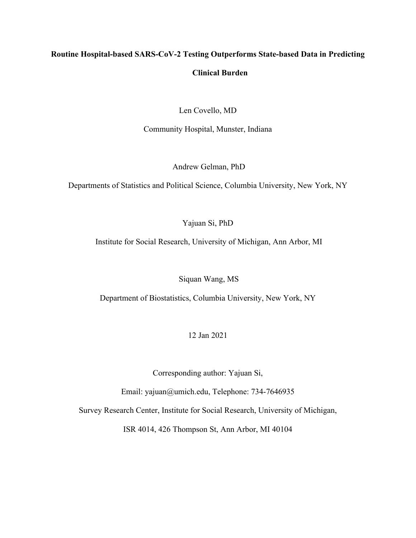# **Routine Hospital-based SARS-CoV-2 Testing Outperforms State-based Data in Predicting Clinical Burden**

Len Covello, MD

Community Hospital, Munster, Indiana

Andrew Gelman, PhD

Departments of Statistics and Political Science, Columbia University, New York, NY

Yajuan Si, PhD

Institute for Social Research, University of Michigan, Ann Arbor, MI

Siquan Wang, MS

Department of Biostatistics, Columbia University, New York, NY

12 Jan 2021

Corresponding author: Yajuan Si,

Email: yajuan@umich.edu, Telephone: 734-7646935

Survey Research Center, Institute for Social Research, University of Michigan,

ISR 4014, 426 Thompson St, Ann Arbor, MI 40104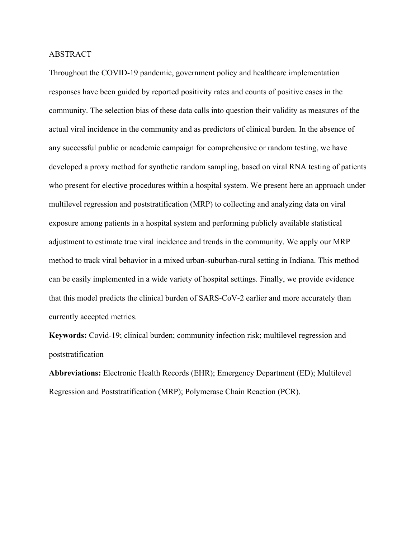# ABSTRACT

Throughout the COVID-19 pandemic, government policy and healthcare implementation responses have been guided by reported positivity rates and counts of positive cases in the community. The selection bias of these data calls into question their validity as measures of the actual viral incidence in the community and as predictors of clinical burden. In the absence of any successful public or academic campaign for comprehensive or random testing, we have developed a proxy method for synthetic random sampling, based on viral RNA testing of patients who present for elective procedures within a hospital system. We present here an approach under multilevel regression and poststratification (MRP) to collecting and analyzing data on viral exposure among patients in a hospital system and performing publicly available statistical adjustment to estimate true viral incidence and trends in the community. We apply our MRP method to track viral behavior in a mixed urban-suburban-rural setting in Indiana. This method can be easily implemented in a wide variety of hospital settings. Finally, we provide evidence that this model predicts the clinical burden of SARS-CoV-2 earlier and more accurately than currently accepted metrics.

**Keywords:** Covid-19; clinical burden; community infection risk; multilevel regression and poststratification

**Abbreviations:** Electronic Health Records (EHR); Emergency Department (ED); Multilevel Regression and Poststratification (MRP); Polymerase Chain Reaction (PCR).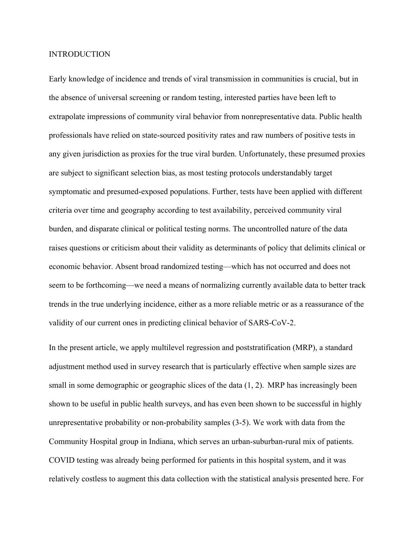## INTRODUCTION

Early knowledge of incidence and trends of viral transmission in communities is crucial, but in the absence of universal screening or random testing, interested parties have been left to extrapolate impressions of community viral behavior from nonrepresentative data. Public health professionals have relied on state-sourced positivity rates and raw numbers of positive tests in any given jurisdiction as proxies for the true viral burden. Unfortunately, these presumed proxies are subject to significant selection bias, as most testing protocols understandably target symptomatic and presumed-exposed populations. Further, tests have been applied with different criteria over time and geography according to test availability, perceived community viral burden, and disparate clinical or political testing norms. The uncontrolled nature of the data raises questions or criticism about their validity as determinants of policy that delimits clinical or economic behavior. Absent broad randomized testing—which has not occurred and does not seem to be forthcoming—we need a means of normalizing currently available data to better track trends in the true underlying incidence, either as a more reliable metric or as a reassurance of the validity of our current ones in predicting clinical behavior of SARS-CoV-2.

In the present article, we apply multilevel regression and poststratification (MRP), a standard adjustment method used in survey research that is particularly effective when sample sizes are small in some demographic or geographic slices of the data (1, 2). MRP has increasingly been shown to be useful in public health surveys, and has even been shown to be successful in highly unrepresentative probability or non-probability samples (3-5). We work with data from the Community Hospital group in Indiana, which serves an urban-suburban-rural mix of patients. COVID testing was already being performed for patients in this hospital system, and it was relatively costless to augment this data collection with the statistical analysis presented here. For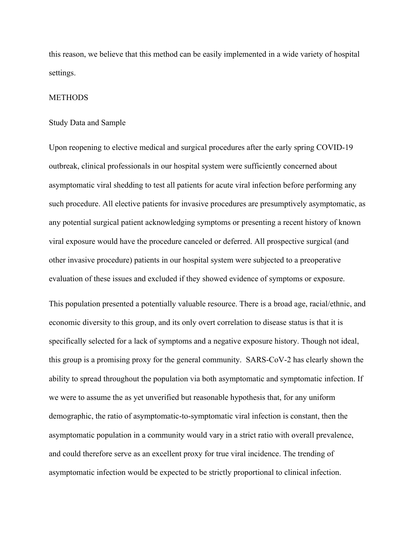this reason, we believe that this method can be easily implemented in a wide variety of hospital settings.

### **METHODS**

# Study Data and Sample

Upon reopening to elective medical and surgical procedures after the early spring COVID-19 outbreak, clinical professionals in our hospital system were sufficiently concerned about asymptomatic viral shedding to test all patients for acute viral infection before performing any such procedure. All elective patients for invasive procedures are presumptively asymptomatic, as any potential surgical patient acknowledging symptoms or presenting a recent history of known viral exposure would have the procedure canceled or deferred. All prospective surgical (and other invasive procedure) patients in our hospital system were subjected to a preoperative evaluation of these issues and excluded if they showed evidence of symptoms or exposure.

This population presented a potentially valuable resource. There is a broad age, racial/ethnic, and economic diversity to this group, and its only overt correlation to disease status is that it is specifically selected for a lack of symptoms and a negative exposure history. Though not ideal, this group is a promising proxy for the general community. SARS-CoV-2 has clearly shown the ability to spread throughout the population via both asymptomatic and symptomatic infection. If we were to assume the as yet unverified but reasonable hypothesis that, for any uniform demographic, the ratio of asymptomatic-to-symptomatic viral infection is constant, then the asymptomatic population in a community would vary in a strict ratio with overall prevalence, and could therefore serve as an excellent proxy for true viral incidence. The trending of asymptomatic infection would be expected to be strictly proportional to clinical infection.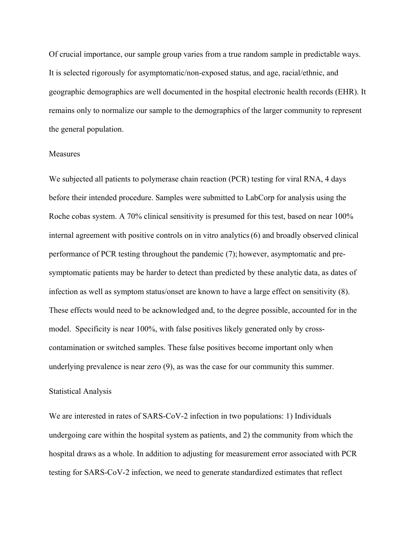Of crucial importance, our sample group varies from a true random sample in predictable ways. It is selected rigorously for asymptomatic/non-exposed status, and age, racial/ethnic, and geographic demographics are well documented in the hospital electronic health records (EHR). It remains only to normalize our sample to the demographics of the larger community to represent the general population.

## Measures

We subjected all patients to polymerase chain reaction (PCR) testing for viral RNA, 4 days before their intended procedure. Samples were submitted to LabCorp for analysis using the Roche cobas system. A 70% clinical sensitivity is presumed for this test, based on near 100% internal agreement with positive controls on in vitro analytics(6) and broadly observed clinical performance of PCR testing throughout the pandemic (7); however, asymptomatic and presymptomatic patients may be harder to detect than predicted by these analytic data, as dates of infection as well as symptom status/onset are known to have a large effect on sensitivity (8). These effects would need to be acknowledged and, to the degree possible, accounted for in the model. Specificity is near 100%, with false positives likely generated only by crosscontamination or switched samples. These false positives become important only when underlying prevalence is near zero (9), as was the case for our community this summer.

#### Statistical Analysis

We are interested in rates of SARS-CoV-2 infection in two populations: 1) Individuals undergoing care within the hospital system as patients, and 2) the community from which the hospital draws as a whole. In addition to adjusting for measurement error associated with PCR testing for SARS-CoV-2 infection, we need to generate standardized estimates that reflect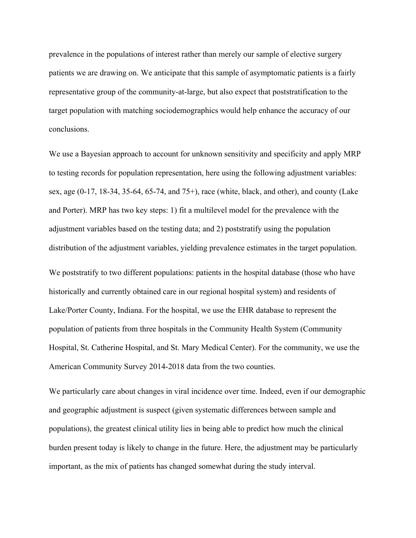prevalence in the populations of interest rather than merely our sample of elective surgery patients we are drawing on. We anticipate that this sample of asymptomatic patients is a fairly representative group of the community-at-large, but also expect that poststratification to the target population with matching sociodemographics would help enhance the accuracy of our conclusions.

We use a Bayesian approach to account for unknown sensitivity and specificity and apply MRP to testing records for population representation, here using the following adjustment variables: sex, age (0-17, 18-34, 35-64, 65-74, and 75+), race (white, black, and other), and county (Lake and Porter). MRP has two key steps: 1) fit a multilevel model for the prevalence with the adjustment variables based on the testing data; and 2) poststratify using the population distribution of the adjustment variables, yielding prevalence estimates in the target population.

We poststratify to two different populations: patients in the hospital database (those who have historically and currently obtained care in our regional hospital system) and residents of Lake/Porter County, Indiana. For the hospital, we use the EHR database to represent the population of patients from three hospitals in the Community Health System (Community Hospital, St. Catherine Hospital, and St. Mary Medical Center). For the community, we use the American Community Survey 2014-2018 data from the two counties.

We particularly care about changes in viral incidence over time. Indeed, even if our demographic and geographic adjustment is suspect (given systematic differences between sample and populations), the greatest clinical utility lies in being able to predict how much the clinical burden present today is likely to change in the future. Here, the adjustment may be particularly important, as the mix of patients has changed somewhat during the study interval.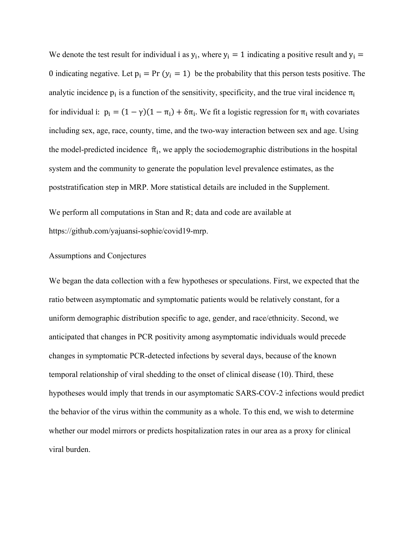We denote the test result for individual i as  $y_i$ , where  $y_i = 1$  indicating a positive result and  $y_i =$ 0 indicating negative. Let  $p_i = Pr(y_i = 1)$  be the probability that this person tests positive. The analytic incidence  $p_i$  is a function of the sensitivity, specificity, and the true viral incidence  $\pi_i$ for individual i:  $p_i = (1 - \gamma)(1 - \pi_i) + \delta \pi_i$ . We fit a logistic regression for  $\pi_i$  with covariates including sex, age, race, county, time, and the two-way interaction between sex and age. Using the model-predicted incidence  $\hat{\pi}_i$ , we apply the sociodemographic distributions in the hospital system and the community to generate the population level prevalence estimates, as the poststratification step in MRP. More statistical details are included in the Supplement.

We perform all computations in Stan and R; data and code are available at https://github.com/yajuansi-sophie/covid19-mrp.

# Assumptions and Conjectures

We began the data collection with a few hypotheses or speculations. First, we expected that the ratio between asymptomatic and symptomatic patients would be relatively constant, for a uniform demographic distribution specific to age, gender, and race/ethnicity. Second, we anticipated that changes in PCR positivity among asymptomatic individuals would precede changes in symptomatic PCR-detected infections by several days, because of the known temporal relationship of viral shedding to the onset of clinical disease (10). Third, these hypotheses would imply that trends in our asymptomatic SARS-COV-2 infections would predict the behavior of the virus within the community as a whole. To this end, we wish to determine whether our model mirrors or predicts hospitalization rates in our area as a proxy for clinical viral burden.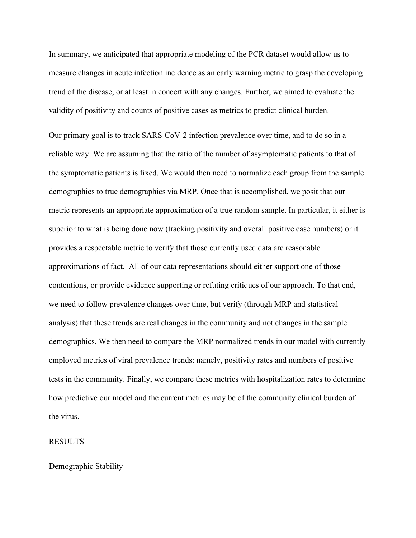In summary, we anticipated that appropriate modeling of the PCR dataset would allow us to measure changes in acute infection incidence as an early warning metric to grasp the developing trend of the disease, or at least in concert with any changes. Further, we aimed to evaluate the validity of positivity and counts of positive cases as metrics to predict clinical burden.

Our primary goal is to track SARS-CoV-2 infection prevalence over time, and to do so in a reliable way. We are assuming that the ratio of the number of asymptomatic patients to that of the symptomatic patients is fixed. We would then need to normalize each group from the sample demographics to true demographics via MRP. Once that is accomplished, we posit that our metric represents an appropriate approximation of a true random sample. In particular, it either is superior to what is being done now (tracking positivity and overall positive case numbers) or it provides a respectable metric to verify that those currently used data are reasonable approximations of fact. All of our data representations should either support one of those contentions, or provide evidence supporting or refuting critiques of our approach. To that end, we need to follow prevalence changes over time, but verify (through MRP and statistical analysis) that these trends are real changes in the community and not changes in the sample demographics. We then need to compare the MRP normalized trends in our model with currently employed metrics of viral prevalence trends: namely, positivity rates and numbers of positive tests in the community. Finally, we compare these metrics with hospitalization rates to determine how predictive our model and the current metrics may be of the community clinical burden of the virus.

# RESULTS

# Demographic Stability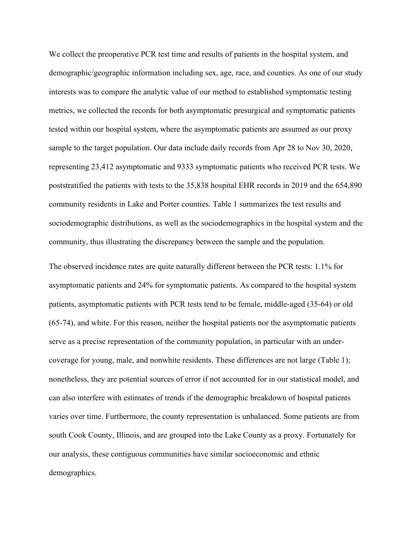We collect the preoperative PCR test time and results of patients in the hospital system, and demographic/geographic information including sex, age, race, and counties. As one of our study interests was to compare the analytic value of our method to established symptomatic testing metrics, we collected the records for both asymptomatic presurgical and symptomatic patients tested within our hospital system, where the asymptomatic patients are assumed as our proxy sample to the target population. Our data include daily records from Apr 28 to Nov 30, 2020, representing 23,412 asymptomatic and 9333 symptomatic patients who received PCR tests. We poststratified the patients with tests to the 35,838 hospital EHR records in 2019 and the 654,890 community residents in Lake and Porter counties. Table 1 summarizes the test results and sociodemographic distributions, as well as the sociodemographics in the hospital system and the community, thus illustrating the discrepancy between the sample and the population.

The observed incidence rates are quite naturally different between the PCR tests: 1.1% for asymptomatic patients and 24% for symptomatic patients. As compared to the hospital system patients, asymptomatic patients with PCR tests tend to be female, middle-aged (35-64) or old (65-74), and white. For this reason, neither the hospital patients nor the asymptomatic patients serve as a precise representation of the community population, in particular with an undercoverage for young, male, and nonwhite residents. These differences are not large (Table 1); nonetheless, they are potential sources of error if not accounted for in our statistical model, and can also interfere with estimates of trends if the demographic breakdown of hospital patients varies over time. Furthermore, the county representation is unbalanced. Some patients are from south Cook County, Illinois, and are grouped into the Lake County as a proxy. Fortunately for our analysis, these contiguous communities have similar socioeconomic and ethnic demographics.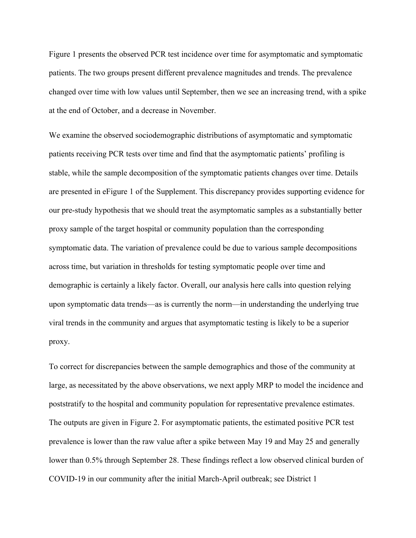Figure 1 presents the observed PCR test incidence over time for asymptomatic and symptomatic patients. The two groups present different prevalence magnitudes and trends. The prevalence changed over time with low values until September, then we see an increasing trend, with a spike at the end of October, and a decrease in November.

We examine the observed sociodemographic distributions of asymptomatic and symptomatic patients receiving PCR tests over time and find that the asymptomatic patients' profiling is stable, while the sample decomposition of the symptomatic patients changes over time. Details are presented in eFigure 1 of the Supplement. This discrepancy provides supporting evidence for our pre-study hypothesis that we should treat the asymptomatic samples as a substantially better proxy sample of the target hospital or community population than the corresponding symptomatic data. The variation of prevalence could be due to various sample decompositions across time, but variation in thresholds for testing symptomatic people over time and demographic is certainly a likely factor. Overall, our analysis here calls into question relying upon symptomatic data trends—as is currently the norm—in understanding the underlying true viral trends in the community and argues that asymptomatic testing is likely to be a superior proxy.

To correct for discrepancies between the sample demographics and those of the community at large, as necessitated by the above observations, we next apply MRP to model the incidence and poststratify to the hospital and community population for representative prevalence estimates. The outputs are given in Figure 2. For asymptomatic patients, the estimated positive PCR test prevalence is lower than the raw value after a spike between May 19 and May 25 and generally lower than 0.5% through September 28. These findings reflect a low observed clinical burden of COVID-19 in our community after the initial March-April outbreak; see District 1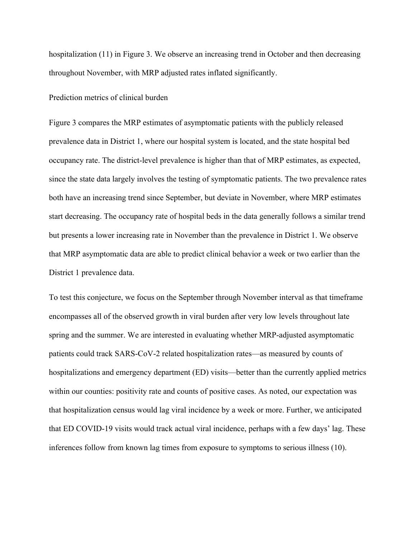hospitalization (11) in Figure 3. We observe an increasing trend in October and then decreasing throughout November, with MRP adjusted rates inflated significantly.

#### Prediction metrics of clinical burden

Figure 3 compares the MRP estimates of asymptomatic patients with the publicly released prevalence data in District 1, where our hospital system is located, and the state hospital bed occupancy rate. The district-level prevalence is higher than that of MRP estimates, as expected, since the state data largely involves the testing of symptomatic patients. The two prevalence rates both have an increasing trend since September, but deviate in November, where MRP estimates start decreasing. The occupancy rate of hospital beds in the data generally follows a similar trend but presents a lower increasing rate in November than the prevalence in District 1. We observe that MRP asymptomatic data are able to predict clinical behavior a week or two earlier than the District 1 prevalence data.

To test this conjecture, we focus on the September through November interval as that timeframe encompasses all of the observed growth in viral burden after very low levels throughout late spring and the summer. We are interested in evaluating whether MRP-adjusted asymptomatic patients could track SARS-CoV-2 related hospitalization rates—as measured by counts of hospitalizations and emergency department (ED) visits—better than the currently applied metrics within our counties: positivity rate and counts of positive cases. As noted, our expectation was that hospitalization census would lag viral incidence by a week or more. Further, we anticipated that ED COVID-19 visits would track actual viral incidence, perhaps with a few days' lag. These inferences follow from known lag times from exposure to symptoms to serious illness (10).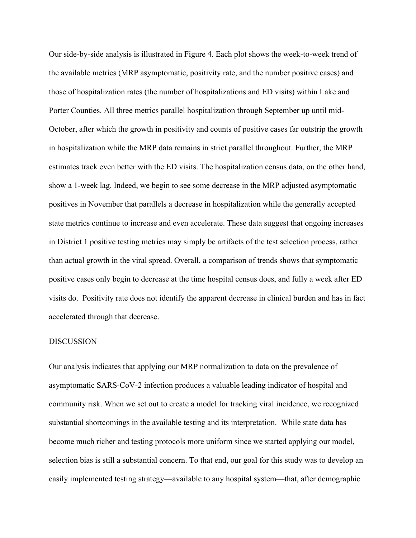Our side-by-side analysis is illustrated in Figure 4. Each plot shows the week-to-week trend of the available metrics (MRP asymptomatic, positivity rate, and the number positive cases) and those of hospitalization rates (the number of hospitalizations and ED visits) within Lake and Porter Counties. All three metrics parallel hospitalization through September up until mid-October, after which the growth in positivity and counts of positive cases far outstrip the growth in hospitalization while the MRP data remains in strict parallel throughout. Further, the MRP estimates track even better with the ED visits. The hospitalization census data, on the other hand, show a 1-week lag. Indeed, we begin to see some decrease in the MRP adjusted asymptomatic positives in November that parallels a decrease in hospitalization while the generally accepted state metrics continue to increase and even accelerate. These data suggest that ongoing increases in District 1 positive testing metrics may simply be artifacts of the test selection process, rather than actual growth in the viral spread. Overall, a comparison of trends shows that symptomatic positive cases only begin to decrease at the time hospital census does, and fully a week after ED visits do. Positivity rate does not identify the apparent decrease in clinical burden and has in fact accelerated through that decrease.

## DISCUSSION

Our analysis indicates that applying our MRP normalization to data on the prevalence of asymptomatic SARS-CoV-2 infection produces a valuable leading indicator of hospital and community risk. When we set out to create a model for tracking viral incidence, we recognized substantial shortcomings in the available testing and its interpretation. While state data has become much richer and testing protocols more uniform since we started applying our model, selection bias is still a substantial concern. To that end, our goal for this study was to develop an easily implemented testing strategy—available to any hospital system—that, after demographic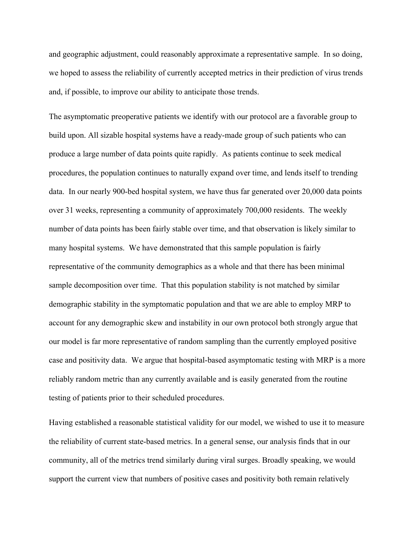and geographic adjustment, could reasonably approximate a representative sample. In so doing, we hoped to assess the reliability of currently accepted metrics in their prediction of virus trends and, if possible, to improve our ability to anticipate those trends.

The asymptomatic preoperative patients we identify with our protocol are a favorable group to build upon. All sizable hospital systems have a ready-made group of such patients who can produce a large number of data points quite rapidly. As patients continue to seek medical procedures, the population continues to naturally expand over time, and lends itself to trending data. In our nearly 900-bed hospital system, we have thus far generated over 20,000 data points over 31 weeks, representing a community of approximately 700,000 residents. The weekly number of data points has been fairly stable over time, and that observation is likely similar to many hospital systems. We have demonstrated that this sample population is fairly representative of the community demographics as a whole and that there has been minimal sample decomposition over time. That this population stability is not matched by similar demographic stability in the symptomatic population and that we are able to employ MRP to account for any demographic skew and instability in our own protocol both strongly argue that our model is far more representative of random sampling than the currently employed positive case and positivity data. We argue that hospital-based asymptomatic testing with MRP is a more reliably random metric than any currently available and is easily generated from the routine testing of patients prior to their scheduled procedures.

Having established a reasonable statistical validity for our model, we wished to use it to measure the reliability of current state-based metrics. In a general sense, our analysis finds that in our community, all of the metrics trend similarly during viral surges. Broadly speaking, we would support the current view that numbers of positive cases and positivity both remain relatively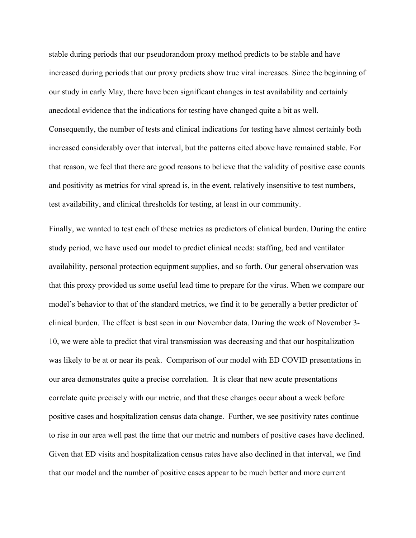stable during periods that our pseudorandom proxy method predicts to be stable and have increased during periods that our proxy predicts show true viral increases. Since the beginning of our study in early May, there have been significant changes in test availability and certainly anecdotal evidence that the indications for testing have changed quite a bit as well. Consequently, the number of tests and clinical indications for testing have almost certainly both increased considerably over that interval, but the patterns cited above have remained stable. For that reason, we feel that there are good reasons to believe that the validity of positive case counts and positivity as metrics for viral spread is, in the event, relatively insensitive to test numbers, test availability, and clinical thresholds for testing, at least in our community.

Finally, we wanted to test each of these metrics as predictors of clinical burden. During the entire study period, we have used our model to predict clinical needs: staffing, bed and ventilator availability, personal protection equipment supplies, and so forth. Our general observation was that this proxy provided us some useful lead time to prepare for the virus. When we compare our model's behavior to that of the standard metrics, we find it to be generally a better predictor of clinical burden. The effect is best seen in our November data. During the week of November 3- 10, we were able to predict that viral transmission was decreasing and that our hospitalization was likely to be at or near its peak. Comparison of our model with ED COVID presentations in our area demonstrates quite a precise correlation. It is clear that new acute presentations correlate quite precisely with our metric, and that these changes occur about a week before positive cases and hospitalization census data change. Further, we see positivity rates continue to rise in our area well past the time that our metric and numbers of positive cases have declined. Given that ED visits and hospitalization census rates have also declined in that interval, we find that our model and the number of positive cases appear to be much better and more current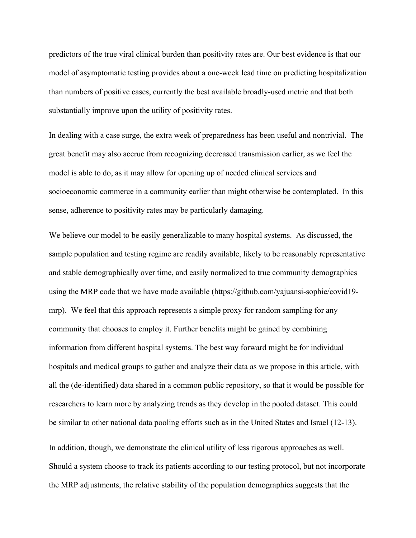predictors of the true viral clinical burden than positivity rates are. Our best evidence is that our model of asymptomatic testing provides about a one-week lead time on predicting hospitalization than numbers of positive cases, currently the best available broadly-used metric and that both substantially improve upon the utility of positivity rates.

In dealing with a case surge, the extra week of preparedness has been useful and nontrivial. The great benefit may also accrue from recognizing decreased transmission earlier, as we feel the model is able to do, as it may allow for opening up of needed clinical services and socioeconomic commerce in a community earlier than might otherwise be contemplated. In this sense, adherence to positivity rates may be particularly damaging.

We believe our model to be easily generalizable to many hospital systems. As discussed, the sample population and testing regime are readily available, likely to be reasonably representative and stable demographically over time, and easily normalized to true community demographics using the MRP code that we have made available (https://github.com/yajuansi-sophie/covid19 mrp). We feel that this approach represents a simple proxy for random sampling for any community that chooses to employ it. Further benefits might be gained by combining information from different hospital systems. The best way forward might be for individual hospitals and medical groups to gather and analyze their data as we propose in this article, with all the (de-identified) data shared in a common public repository, so that it would be possible for researchers to learn more by analyzing trends as they develop in the pooled dataset. This could be similar to other national data pooling efforts such as in the United States and Israel (12-13).

In addition, though, we demonstrate the clinical utility of less rigorous approaches as well. Should a system choose to track its patients according to our testing protocol, but not incorporate the MRP adjustments, the relative stability of the population demographics suggests that the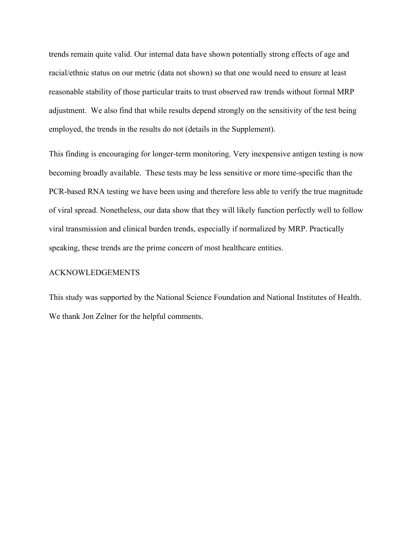trends remain quite valid. Our internal data have shown potentially strong effects of age and racial/ethnic status on our metric (data not shown) so that one would need to ensure at least reasonable stability of those particular traits to trust observed raw trends without formal MRP adjustment. We also find that while results depend strongly on the sensitivity of the test being employed, the trends in the results do not (details in the Supplement).

This finding is encouraging for longer-term monitoring. Very inexpensive antigen testing is now becoming broadly available. These tests may be less sensitive or more time-specific than the PCR-based RNA testing we have been using and therefore less able to verify the true magnitude of viral spread. Nonetheless, our data show that they will likely function perfectly well to follow viral transmission and clinical burden trends, especially if normalized by MRP. Practically speaking, these trends are the prime concern of most healthcare entities.

# ACKNOWLEDGEMENTS

This study was supported by the National Science Foundation and National Institutes of Health. We thank Jon Zelner for the helpful comments.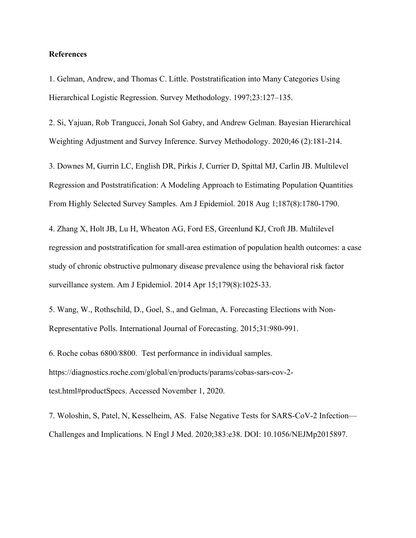# **References**

1. Gelman, Andrew, and Thomas C. Little. Poststratification into Many Categories Using Hierarchical Logistic Regression. Survey Methodology. 1997;23:127–135.

2. Si, Yajuan, Rob Trangucci, Jonah Sol Gabry, and Andrew Gelman. Bayesian Hierarchical Weighting Adjustment and Survey Inference. Survey Methodology. 2020;46 (2):181-214.

3. Downes M, Gurrin LC, English DR, Pirkis J, Currier D, Spittal MJ, Carlin JB. Multilevel Regression and Poststratification: A Modeling Approach to Estimating Population Quantities From Highly Selected Survey Samples. Am J Epidemiol. 2018 Aug 1;187(8):1780-1790.

4. Zhang X, Holt JB, Lu H, Wheaton AG, Ford ES, Greenlund KJ, Croft JB. Multilevel regression and poststratification for small-area estimation of population health outcomes: a case study of chronic obstructive pulmonary disease prevalence using the behavioral risk factor surveillance system. Am J Epidemiol. 2014 Apr 15;179(8):1025-33.

5. Wang, W., Rothschild, D., Goel, S., and Gelman, A. Forecasting Elections with Non-Representative Polls. International Journal of Forecasting. 2015;31:980-991.

6. Roche cobas 6800/8800. Test performance in individual samples. https://diagnostics.roche.com/global/en/products/params/cobas-sars-cov-2 test.html#productSpecs. Accessed November 1, 2020.

7. Woloshin, S, Patel, N, Kesselheim, AS. False Negative Tests for SARS-CoV-2 Infection— Challenges and Implications. N Engl J Med. 2020;383:e38. DOI: 10.1056/NEJMp2015897.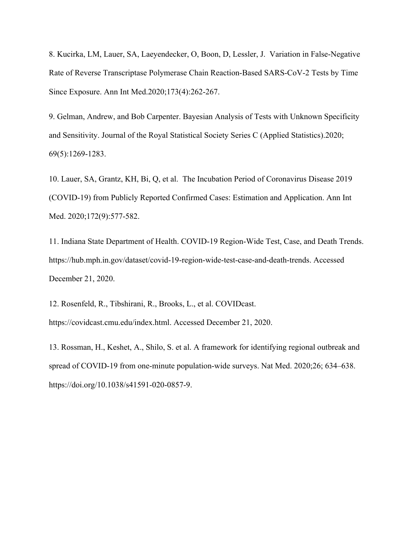8. Kucirka, LM, Lauer, SA, Laeyendecker, O, Boon, D, Lessler, J. Variation in False-Negative Rate of Reverse Transcriptase Polymerase Chain Reaction-Based SARS-CoV-2 Tests by Time Since Exposure. Ann Int Med.2020;173(4):262-267.

9. Gelman, Andrew, and Bob Carpenter. Bayesian Analysis of Tests with Unknown Specificity and Sensitivity. Journal of the Royal Statistical Society Series C (Applied Statistics).2020; 69(5):1269-1283.

10. Lauer, SA, Grantz, KH, Bi, Q, et al. The Incubation Period of Coronavirus Disease 2019 (COVID-19) from Publicly Reported Confirmed Cases: Estimation and Application. Ann Int Med. 2020;172(9):577-582.

11. Indiana State Department of Health. COVID-19 Region-Wide Test, Case, and Death Trends. https://hub.mph.in.gov/dataset/covid-19-region-wide-test-case-and-death-trends. Accessed December 21, 2020.

12. Rosenfeld, R., Tibshirani, R., Brooks, L., et al. COVIDcast. https://covidcast.cmu.edu/index.html. Accessed December 21, 2020.

13. Rossman, H., Keshet, A., Shilo, S. et al. A framework for identifying regional outbreak and spread of COVID-19 from one-minute population-wide surveys. Nat Med. 2020;26; 634–638. https://doi.org/10.1038/s41591-020-0857-9.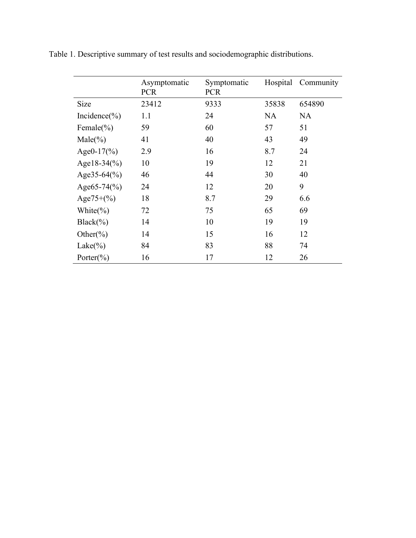|                                  | Asymptomatic<br><b>PCR</b> | Symptomatic<br><b>PCR</b> | Hospital  | Community |
|----------------------------------|----------------------------|---------------------------|-----------|-----------|
| Size                             | 23412                      | 9333                      | 35838     | 654890    |
| Incidence(%)                     | 1.1                        | 24                        | <b>NA</b> | <b>NA</b> |
| Female $(\% )$                   | 59                         | 60                        | 57        | 51        |
| $Male(\%)$                       | 41                         | 40                        | 43        | 49        |
| Age0-17 $(\% )$                  | 2.9                        | 16                        | 8.7       | 24        |
| Age18-34 $(\%$                   | 10                         | 19                        | 12        | 21        |
| Age35-64 $(\%$                   | 46                         | 44                        | 30        | 40        |
| Age $65-74\binom{0}{0}$          | 24                         | 12                        | 20        | 9         |
| Age $75+(%)$                     | 18                         | 8.7                       | 29        | 6.6       |
| White $(\%)$                     | 72                         | 75                        | 65        | 69        |
| $Black(\%)$                      | 14                         | 10                        | 19        | 19        |
| Other $\left(\frac{0}{0}\right)$ | 14                         | 15                        | 16        | 12        |
| Lake $(\% )$                     | 84                         | 83                        | 88        | 74        |
| Porter $(\% )$                   | 16                         | 17                        | 12        | 26        |

Table 1. Descriptive summary of test results and sociodemographic distributions.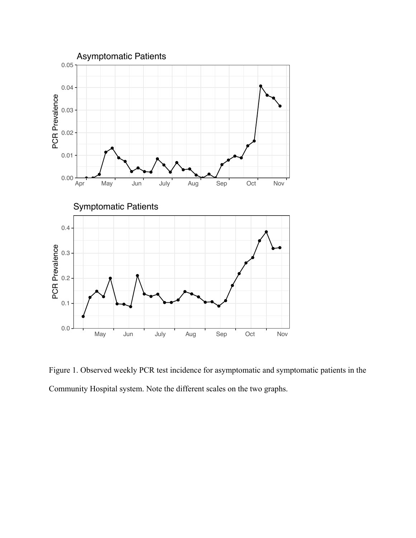

Figure 1. Observed weekly PCR test incidence for asymptomatic and symptomatic patients in the Community Hospital system. Note the different scales on the two graphs.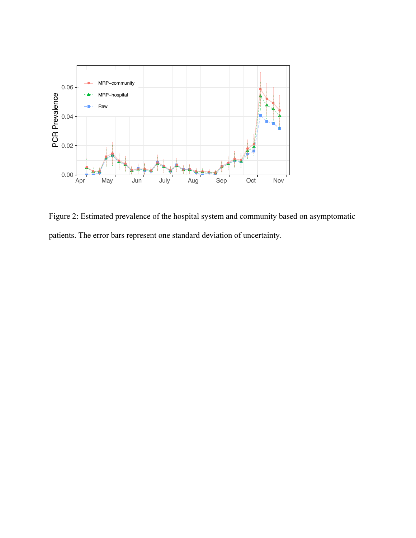

Figure 2: Estimated prevalence of the hospital system and community based on asymptomatic patients. The error bars represent one standard deviation of uncertainty.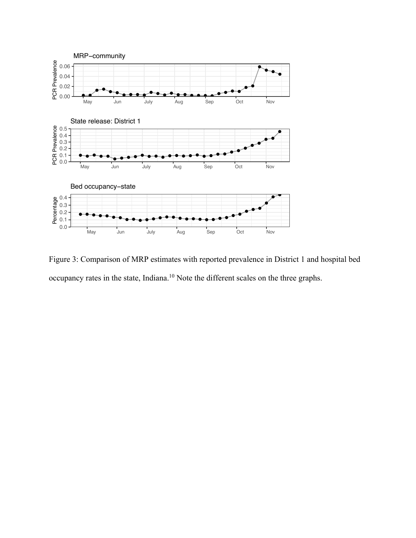

Figure 3: Comparison of MRP estimates with reported prevalence in District 1 and hospital bed occupancy rates in the state, Indiana.10 Note the different scales on the three graphs.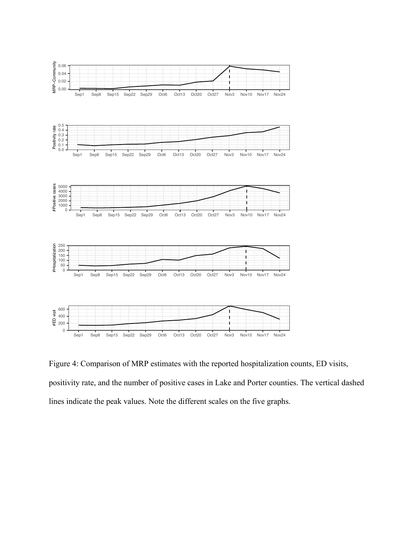

Figure 4: Comparison of MRP estimates with the reported hospitalization counts, ED visits, positivity rate, and the number of positive cases in Lake and Porter counties. The vertical dashed lines indicate the peak values. Note the different scales on the five graphs.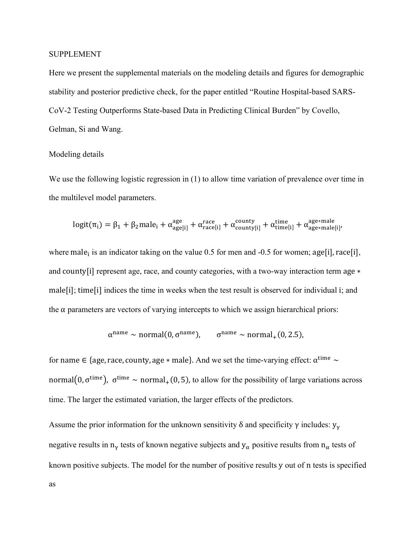#### SUPPLEMENT

Here we present the supplemental materials on the modeling details and figures for demographic stability and posterior predictive check, for the paper entitled "Routine Hospital-based SARS-CoV-2 Testing Outperforms State-based Data in Predicting Clinical Burden" by Covello, Gelman, Si and Wang.

#### Modeling details

We use the following logistic regression in (1) to allow time variation of prevalence over time in the multilevel model parameters.

$$
logit(\pi_i) = \beta_1 + \beta_2 male_i + \alpha_{age[i]}^{age} + \alpha_{race[i]}^{race} + \alpha_{county[i]}^{county} + \alpha_{time[i]}^{time} + \alpha_{age*male[i]}^{age*male}
$$

where male<sub>i</sub> is an indicator taking on the value 0.5 for men and -0.5 for women; age[i], race[i], and county[i] represent age, race, and county categories, with a two-way interaction term age  $*$ male[i]; time[i] indices the time in weeks when the test result is observed for individual i; and the  $\alpha$  parameters are vectors of varying intercepts to which we assign hierarchical priors:

$$
\alpha^{\text{name}} \sim \text{normal}(0, \sigma^{\text{name}}), \quad \sigma^{\text{name}} \sim \text{normal}_+(0, 2.5),
$$

for name  $\in$  {age, race, county, age  $*$  male}. And we set the time-varying effect:  $\alpha^{\text{time}}$  ~ normal(0,  $\sigma^{\text{time}}$ ),  $\sigma^{\text{time}} \sim \text{normal}_{+}(0, 5)$ , to allow for the possibility of large variations across time. The larger the estimated variation, the larger effects of the predictors.

Assume the prior information for the unknown sensitivity  $\delta$  and specificity  $\gamma$  includes:  $y_{\gamma}$ negative results in  $n<sub>y</sub>$  tests of known negative subjects and  $y<sub>\alpha</sub>$  positive results from  $n<sub>\alpha</sub>$  tests of known positive subjects. The model for the number of positive results y out of n tests is specified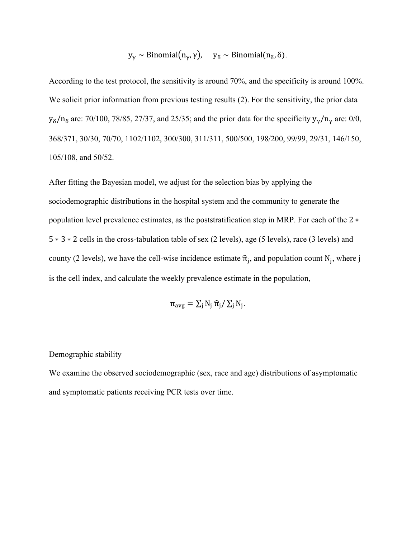$$
y_{\gamma} \sim \text{Binomial}(n_{\gamma}, \gamma), \quad y_{\delta} \sim \text{Binomial}(n_{\delta}, \delta).
$$

According to the test protocol, the sensitivity is around 70%, and the specificity is around 100%. We solicit prior information from previous testing results (2). For the sensitivity, the prior data  $y_\delta/n_\delta$  are: 70/100, 78/85, 27/37, and 25/35; and the prior data for the specificity  $y_\gamma/n_\gamma$  are: 0/0, 368/371, 30/30, 70/70, 1102/1102, 300/300, 311/311, 500/500, 198/200, 99/99, 29/31, 146/150, 105/108, and 50/52.

After fitting the Bayesian model, we adjust for the selection bias by applying the sociodemographic distributions in the hospital system and the community to generate the population level prevalence estimates, as the poststratification step in MRP. For each of the 2  $*$ 5 ∗ 3 ∗ 2 cells in the cross-tabulation table of sex (2 levels), age (5 levels), race (3 levels) and county (2 levels), we have the cell-wise incidence estimate  $\hat{\pi}_{i}$ , and population count N<sub>i</sub>, where j is the cell index, and calculate the weekly prevalence estimate in the population,

$$
\pi_{\mathrm{avg}} = \sum_j N_j \; \widehat{\pi}_j / \sum_j N_j.
$$

# Demographic stability

We examine the observed sociodemographic (sex, race and age) distributions of asymptomatic and symptomatic patients receiving PCR tests over time.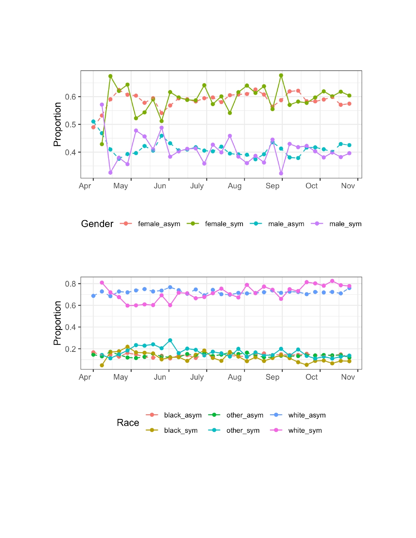



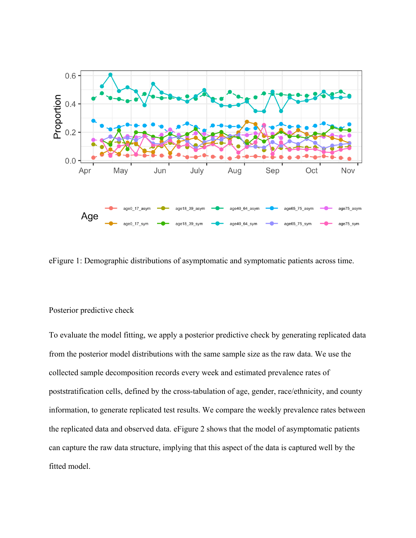

eFigure 1: Demographic distributions of asymptomatic and symptomatic patients across time.

# Posterior predictive check

To evaluate the model fitting, we apply a posterior predictive check by generating replicated data from the posterior model distributions with the same sample size as the raw data. We use the collected sample decomposition records every week and estimated prevalence rates of poststratification cells, defined by the cross-tabulation of age, gender, race/ethnicity, and county information, to generate replicated test results. We compare the weekly prevalence rates between the replicated data and observed data. eFigure 2 shows that the model of asymptomatic patients can capture the raw data structure, implying that this aspect of the data is captured well by the fitted model.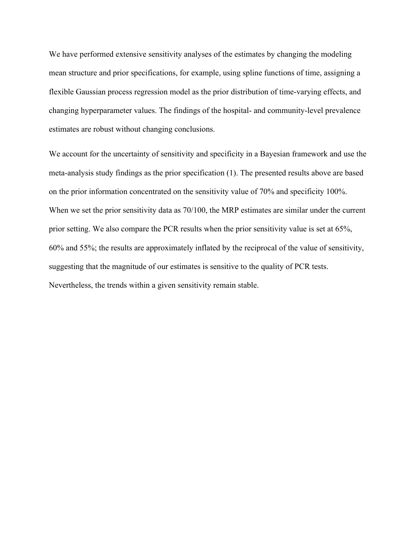We have performed extensive sensitivity analyses of the estimates by changing the modeling mean structure and prior specifications, for example, using spline functions of time, assigning a flexible Gaussian process regression model as the prior distribution of time-varying effects, and changing hyperparameter values. The findings of the hospital- and community-level prevalence estimates are robust without changing conclusions.

We account for the uncertainty of sensitivity and specificity in a Bayesian framework and use the meta-analysis study findings as the prior specification (1). The presented results above are based on the prior information concentrated on the sensitivity value of 70% and specificity 100%. When we set the prior sensitivity data as 70/100, the MRP estimates are similar under the current prior setting. We also compare the PCR results when the prior sensitivity value is set at 65%, 60% and 55%; the results are approximately inflated by the reciprocal of the value of sensitivity, suggesting that the magnitude of our estimates is sensitive to the quality of PCR tests. Nevertheless, the trends within a given sensitivity remain stable.